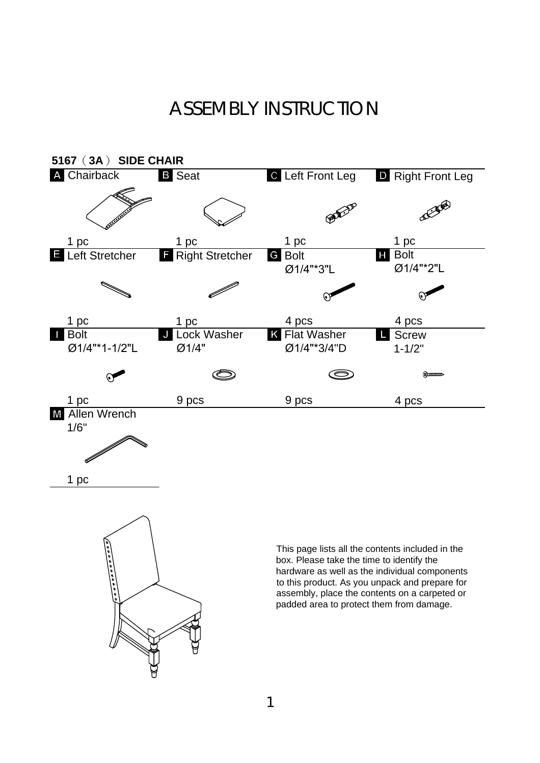## ASSEMBLY INSTRUCTION





This page lists all the contents included in the box. Please take the time to identify the hardware as well as the individual components to this product. As you unpack and prepare for assembly, place the contents on a carpeted or padded area to protect them from damage.